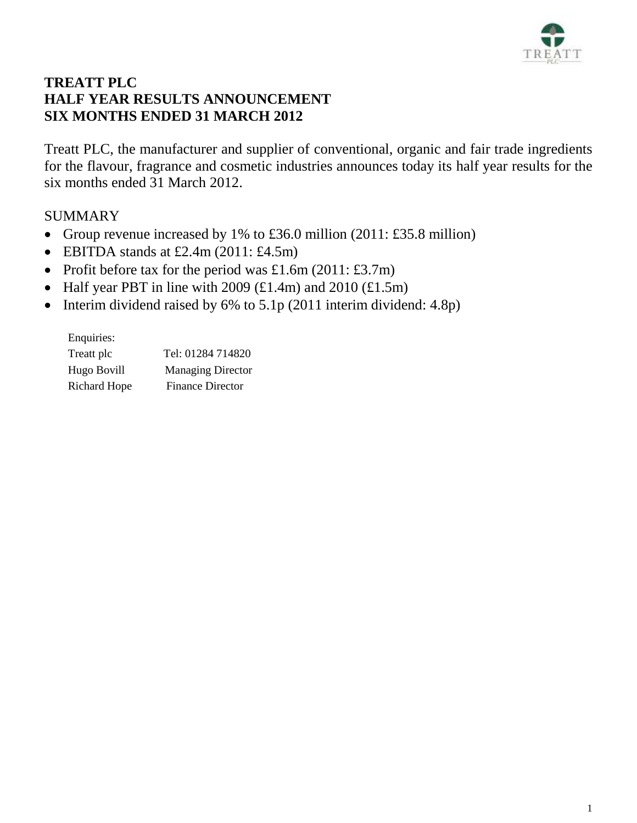

# **TREATT PLC HALF YEAR RESULTS ANNOUNCEMENT SIX MONTHS ENDED 31 MARCH 2012**

Treatt PLC, the manufacturer and supplier of conventional, organic and fair trade ingredients for the flavour, fragrance and cosmetic industries announces today its half year results for the six months ended 31 March 2012.

# SUMMARY

- Group revenue increased by 1% to £36.0 million  $(2011: \text{\textsterling}35.8 \text{ million})$
- $\bullet$  EBITDA stands at £2.4m (2011: £4.5m)
- Profit before tax for the period was £1.6m (2011: £3.7m)
- Half year PBT in line with 2009  $(\text{\textsterling}1.4\text{m})$  and 2010  $(\text{\textsterling}1.5\text{m})$
- Interim dividend raised by  $6\%$  to  $5.1p$  (2011 interim dividend: 4.8p)

Enquiries: Treatt plc Tel: 01284 714820 Hugo Bovill Managing Director Richard Hope Finance Director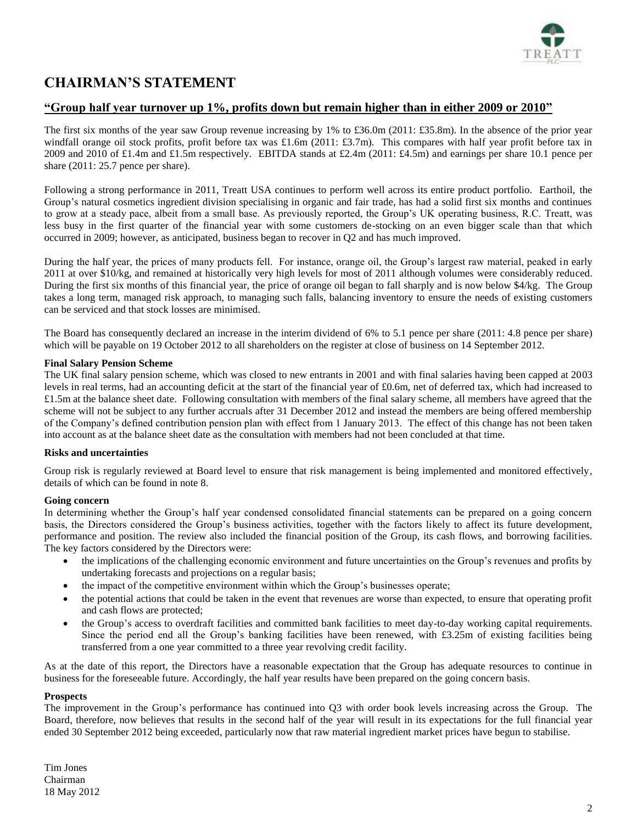

# **CHAIRMAN'S STATEMENT**

## **"Group half year turnover up 1%, profits down but remain higher than in either 2009 or 2010"**

The first six months of the year saw Group revenue increasing by 1% to £36.0m (2011: £35.8m). In the absence of the prior year windfall orange oil stock profits, profit before tax was £1.6m (2011: £3.7m). This compares with half year profit before tax in 2009 and 2010 of £1.4m and £1.5m respectively. EBITDA stands at £2.4m (2011: £4.5m) and earnings per share 10.1 pence per share  $(2011: 25.7)$  pence per share).

Following a strong performance in 2011, Treatt USA continues to perform well across its entire product portfolio. Earthoil, the Group's natural cosmetics ingredient division specialising in organic and fair trade, has had a solid first six months and continues to grow at a steady pace, albeit from a small base. As previously reported, the Group's UK operating business, R.C. Treatt, was less busy in the first quarter of the financial year with some customers de-stocking on an even bigger scale than that which occurred in 2009; however, as anticipated, business began to recover in Q2 and has much improved.

During the half year, the prices of many products fell. For instance, orange oil, the Group's largest raw material, peaked in early 2011 at over \$10/kg, and remained at historically very high levels for most of 2011 although volumes were considerably reduced. During the first six months of this financial year, the price of orange oil began to fall sharply and is now below \$4/kg. The Group takes a long term, managed risk approach, to managing such falls, balancing inventory to ensure the needs of existing customers can be serviced and that stock losses are minimised.

The Board has consequently declared an increase in the interim dividend of 6% to 5.1 pence per share (2011: 4.8 pence per share) which will be payable on 19 October 2012 to all shareholders on the register at close of business on 14 September 2012.

## **Final Salary Pension Scheme**

The UK final salary pension scheme, which was closed to new entrants in 2001 and with final salaries having been capped at 2003 levels in real terms, had an accounting deficit at the start of the financial year of £0.6m, net of deferred tax, which had increased to £1.5m at the balance sheet date. Following consultation with members of the final salary scheme, all members have agreed that the scheme will not be subject to any further accruals after 31 December 2012 and instead the members are being offered membership of the Company's defined contribution pension plan with effect from 1 January 2013. The effect of this change has not been taken into account as at the balance sheet date as the consultation with members had not been concluded at that time.

## **Risks and uncertainties**

Group risk is regularly reviewed at Board level to ensure that risk management is being implemented and monitored effectively, details of which can be found in note 8.

## **Going concern**

In determining whether the Group's half year condensed consolidated financial statements can be prepared on a going concern basis, the Directors considered the Group's business activities, together with the factors likely to affect its future development, performance and position. The review also included the financial position of the Group, its cash flows, and borrowing facilities. The key factors considered by the Directors were:

- the implications of the challenging economic environment and future uncertainties on the Group's revenues and profits by undertaking forecasts and projections on a regular basis;
- the impact of the competitive environment within which the Group's businesses operate;
- the potential actions that could be taken in the event that revenues are worse than expected, to ensure that operating profit and cash flows are protected;
- the Group's access to overdraft facilities and committed bank facilities to meet day-to-day working capital requirements. Since the period end all the Group's banking facilities have been renewed, with £3.25m of existing facilities being transferred from a one year committed to a three year revolving credit facility.

As at the date of this report, the Directors have a reasonable expectation that the Group has adequate resources to continue in business for the foreseeable future. Accordingly, the half year results have been prepared on the going concern basis.

#### **Prospects**

The improvement in the Group's performance has continued into Q3 with order book levels increasing across the Group. The Board, therefore, now believes that results in the second half of the year will result in its expectations for the full financial year ended 30 September 2012 being exceeded, particularly now that raw material ingredient market prices have begun to stabilise.

Tim Jones Chairman 18 May 2012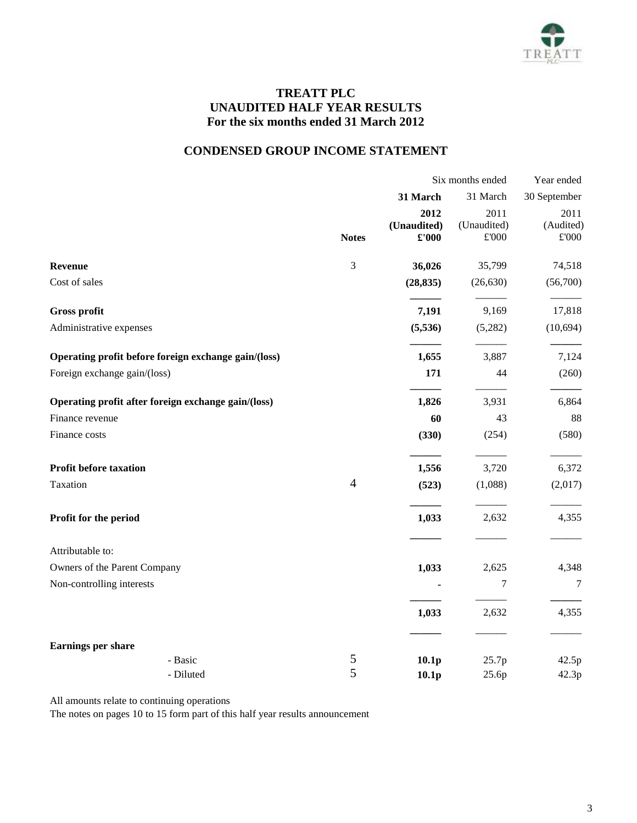

## **TREATT PLC UNAUDITED HALF YEAR RESULTS For the six months ended 31 March 2012**

# **CONDENSED GROUP INCOME STATEMENT**

|                                                      | Six months ended |                      |                              | Year ended                 |  |
|------------------------------------------------------|------------------|----------------------|------------------------------|----------------------------|--|
|                                                      |                  | 31 March             | 31 March                     | 30 September               |  |
|                                                      |                  | 2012                 | 2011                         | 2011                       |  |
|                                                      | <b>Notes</b>     | (Unaudited)<br>£'000 | (Unaudited)<br>$\pounds 000$ | (Audited)<br>$\pounds 000$ |  |
| <b>Revenue</b>                                       | $\mathfrak{Z}$   | 36,026               | 35,799                       | 74,518                     |  |
| Cost of sales                                        |                  | (28, 835)            | (26, 630)                    | (56,700)                   |  |
| Gross profit                                         |                  | 7,191                | 9,169                        | 17,818                     |  |
| Administrative expenses                              |                  | (5,536)              | (5,282)                      | (10, 694)                  |  |
| Operating profit before foreign exchange gain/(loss) |                  | 1,655                | 3,887                        | 7,124                      |  |
| Foreign exchange gain/(loss)                         |                  | 171                  | 44                           | (260)                      |  |
| Operating profit after foreign exchange gain/(loss)  |                  | 1,826                | 3,931                        | 6,864                      |  |
| Finance revenue                                      |                  | 60                   | 43                           | 88                         |  |
| Finance costs                                        |                  | (330)                | (254)                        | (580)                      |  |
| <b>Profit before taxation</b>                        |                  | 1,556                | 3,720                        | 6,372                      |  |
| Taxation                                             | $\overline{4}$   | (523)                | (1,088)                      | (2,017)                    |  |
| Profit for the period                                |                  | 1,033                | 2,632                        | 4,355                      |  |
| Attributable to:                                     |                  |                      |                              |                            |  |
| Owners of the Parent Company                         |                  | 1,033                | 2,625                        | 4,348                      |  |
| Non-controlling interests                            |                  |                      | 7                            | $\overline{7}$             |  |
|                                                      |                  | 1,033                | 2,632                        | 4,355                      |  |
| Earnings per share                                   |                  |                      |                              |                            |  |
| - Basic                                              | 5                | 10.1 <sub>p</sub>    | 25.7p                        | 42.5p                      |  |
| - Diluted                                            | 5                | 10.1 <sub>p</sub>    | 25.6p                        | 42.3p                      |  |

All amounts relate to continuing operations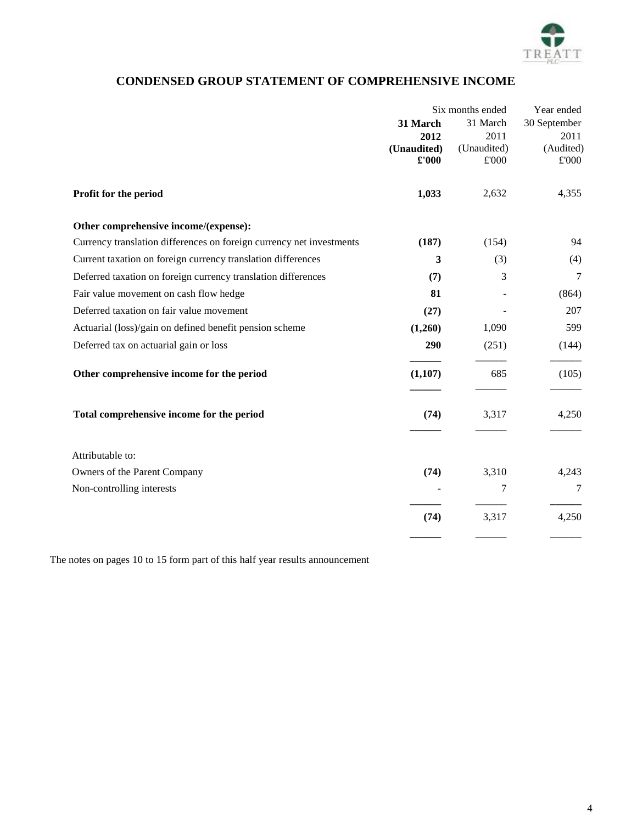

# **CONDENSED GROUP STATEMENT OF COMPREHENSIVE INCOME**

|                                                                      | Six months ended |               | Year ended    |  |
|----------------------------------------------------------------------|------------------|---------------|---------------|--|
|                                                                      | 31 March         | 31 March      | 30 September  |  |
|                                                                      | 2012             | 2011          | 2011          |  |
|                                                                      | (Unaudited)      | (Unaudited)   | (Audited)     |  |
|                                                                      | £'000            | $\pounds 000$ | $\pounds 000$ |  |
| Profit for the period                                                | 1,033            | 2,632         | 4,355         |  |
| Other comprehensive income/(expense):                                |                  |               |               |  |
| Currency translation differences on foreign currency net investments | (187)            | (154)         | 94            |  |
| Current taxation on foreign currency translation differences         | 3                | (3)           | (4)           |  |
| Deferred taxation on foreign currency translation differences        | (7)              | 3             | 7             |  |
| Fair value movement on cash flow hedge                               | 81               |               | (864)         |  |
| Deferred taxation on fair value movement                             | (27)             |               | 207           |  |
| Actuarial (loss)/gain on defined benefit pension scheme              | (1,260)          | 1,090         | 599           |  |
| Deferred tax on actuarial gain or loss                               | 290              | (251)         | (144)         |  |
| Other comprehensive income for the period                            | (1,107)          | 685           | (105)         |  |
| Total comprehensive income for the period                            | (74)             | 3,317         | 4,250         |  |
| Attributable to:                                                     |                  |               |               |  |
| Owners of the Parent Company                                         | (74)             | 3,310         | 4,243         |  |
| Non-controlling interests                                            |                  | 7             | 7             |  |
|                                                                      | (74)             | 3,317         | 4,250         |  |
|                                                                      |                  |               |               |  |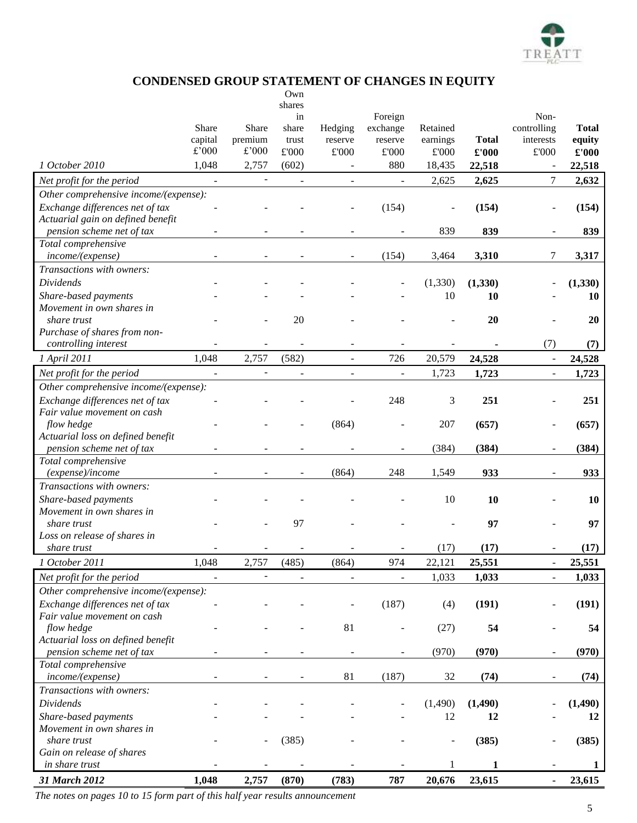

## **CONDENSED GROUP STATEMENT OF CHANGES IN EQUITY**

|                                                                |                          |                              | Own                      |                |                          |                |              |                              |              |
|----------------------------------------------------------------|--------------------------|------------------------------|--------------------------|----------------|--------------------------|----------------|--------------|------------------------------|--------------|
|                                                                |                          |                              | shares                   |                |                          |                |              |                              |              |
|                                                                | Share                    | Share                        | in<br>share              | Hedging        | Foreign<br>exchange      | Retained       |              | Non-<br>controlling          | <b>Total</b> |
|                                                                | capital                  | premium                      | trust                    | reserve        | reserve                  | earnings       | <b>Total</b> | interests                    | equity       |
|                                                                | $\pounds$ '000           | £'000                        | $\pounds 000$            | $\pounds 000$  | $\pounds 000$            | $\pounds 000$  | £'000        | $\pounds 000$                | £'000        |
| 1 October 2010                                                 | 1,048                    | 2,757                        | (602)                    |                | 880                      | 18,435         | 22,518       |                              | 22,518       |
|                                                                |                          | $\qquad \qquad \blacksquare$ |                          |                |                          | 2,625          | 2,625        | $\tau$                       | 2,632        |
| Net profit for the period                                      | $\overline{\phantom{a}}$ |                              | $\overline{\phantom{a}}$ | $\blacksquare$ | $\blacksquare$           |                |              |                              |              |
| Other comprehensive income/(expense):                          |                          |                              |                          |                |                          |                |              |                              |              |
| Exchange differences net of tax                                |                          |                              |                          |                | (154)                    |                | (154)        |                              | (154)        |
| Actuarial gain on defined benefit<br>pension scheme net of tax |                          |                              |                          |                |                          | 839            | 839          |                              | 839          |
| Total comprehensive                                            |                          |                              |                          |                |                          |                |              |                              |              |
| income/(expense)                                               |                          |                              |                          |                | (154)                    | 3,464          | 3,310        | 7                            | 3,317        |
| Transactions with owners:                                      |                          |                              |                          |                |                          |                |              |                              |              |
| Dividends                                                      |                          |                              |                          |                |                          | (1,330)        | (1,330)      |                              | (1, 330)     |
|                                                                |                          |                              |                          |                |                          | 10             |              |                              |              |
| Share-based payments<br>Movement in own shares in              |                          |                              |                          |                |                          |                | 10           |                              | 10           |
| share trust                                                    |                          |                              | 20                       |                |                          |                | 20           |                              | 20           |
| Purchase of shares from non-                                   |                          |                              |                          |                |                          |                |              |                              |              |
| controlling interest                                           |                          |                              |                          |                |                          |                |              | (7)                          | (7)          |
| 1 April 2011                                                   | 1,048                    | 2,757                        | (582)                    | $\blacksquare$ | 726                      | 20,579         | 24,528       |                              | 24,528       |
|                                                                |                          |                              |                          |                |                          |                |              | $\qquad \qquad \blacksquare$ |              |
| Net profit for the period                                      | $\bar{\phantom{a}}$      | $\blacksquare$               | $\Box$                   | $\blacksquare$ | $\overline{\phantom{a}}$ | 1,723          | 1,723        | $\overline{\phantom{a}}$     | 1,723        |
| Other comprehensive income/(expense):                          |                          |                              |                          |                |                          |                |              |                              |              |
| Exchange differences net of tax                                |                          |                              |                          |                | 248                      | 3              | 251          |                              | 251          |
| Fair value movement on cash                                    |                          |                              |                          |                |                          |                |              |                              |              |
| flow hedge                                                     |                          |                              |                          | (864)          |                          | 207            | (657)        |                              | (657)        |
| Actuarial loss on defined benefit<br>pension scheme net of tax |                          |                              |                          |                |                          | (384)          | (384)        |                              |              |
| Total comprehensive                                            |                          |                              |                          |                | $\overline{\phantom{a}}$ |                |              | $\overline{\phantom{a}}$     | (384)        |
| (expense)/income                                               |                          |                              |                          | (864)          | 248                      | 1,549          | 933          |                              | 933          |
| Transactions with owners:                                      |                          |                              |                          |                |                          |                |              |                              |              |
|                                                                |                          |                              |                          |                |                          | 10             | 10           |                              | 10           |
| Share-based payments<br>Movement in own shares in              |                          |                              |                          |                |                          |                |              |                              |              |
| share trust                                                    |                          |                              | 97                       |                |                          |                | 97           |                              | 97           |
| Loss on release of shares in                                   |                          |                              |                          |                |                          |                |              |                              |              |
| share trust                                                    |                          |                              |                          |                |                          | (17)           | (17)         |                              | (17)         |
| 1 October 2011                                                 | 1,048                    | 2,757                        | (485)                    | (864)          | 974                      | 22,121         | 25,551       |                              | 25,551       |
|                                                                |                          |                              |                          |                |                          |                |              |                              |              |
| Net profit for the period                                      | $\blacksquare$           |                              |                          | $\blacksquare$ | ÷,                       | 1,033          | 1,033        | $\overline{\phantom{a}}$     | 1,033        |
| Other comprehensive income/(expense):                          |                          |                              |                          |                |                          |                |              |                              |              |
| Exchange differences net of tax                                |                          |                              |                          |                | (187)                    | (4)            | (191)        |                              | (191)        |
| Fair value movement on cash                                    |                          |                              |                          |                |                          |                |              |                              |              |
| flow hedge                                                     |                          |                              |                          | 81             | ÷                        | (27)           | 54           | $\overline{\phantom{a}}$     | 54           |
| Actuarial loss on defined benefit<br>pension scheme net of tax |                          |                              |                          |                |                          | (970)          | (970)        | $\overline{\phantom{a}}$     | (970)        |
| Total comprehensive                                            |                          |                              |                          |                |                          |                |              |                              |              |
| income/(expense)                                               |                          |                              |                          | 81             | (187)                    | 32             | (74)         |                              | (74)         |
| Transactions with owners:                                      |                          |                              |                          |                |                          |                |              |                              |              |
| <b>Dividends</b>                                               |                          |                              |                          |                |                          |                | (1, 490)     |                              |              |
|                                                                |                          |                              |                          |                |                          | (1,490)        |              |                              | (1, 490)     |
| Share-based payments                                           |                          |                              |                          |                |                          | 12             | 12           |                              | 12           |
| Movement in own shares in<br>share trust                       |                          |                              | (385)                    |                |                          | $\overline{a}$ | (385)        |                              | (385)        |
| Gain on release of shares                                      |                          |                              |                          |                |                          |                |              | $\overline{\phantom{a}}$     |              |
| in share trust                                                 |                          |                              |                          |                |                          |                | 1            |                              | 1            |
|                                                                |                          |                              |                          |                |                          |                |              |                              |              |
| 31 March 2012                                                  | 1,048                    | 2,757                        | (870)                    | (783)          | 787                      | 20,676         | 23,615       | $\blacksquare$               | 23,615       |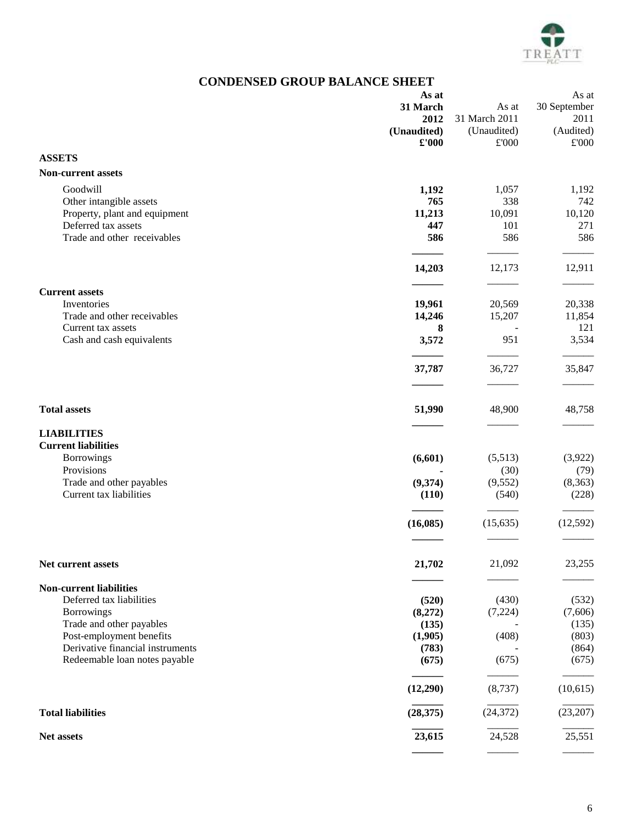

# **CONDENSED GROUP BALANCE SHEET**

|                                  | As at          |               | As at        |
|----------------------------------|----------------|---------------|--------------|
|                                  | 31 March       | As at         | 30 September |
|                                  | 2012           | 31 March 2011 | 2011         |
|                                  | (Unaudited)    | (Unaudited)   | (Audited)    |
|                                  | $\pounds$ '000 | £'000         | £'000        |
| <b>ASSETS</b>                    |                |               |              |
| <b>Non-current assets</b>        |                |               |              |
| Goodwill                         | 1,192          | 1,057         | 1,192        |
| Other intangible assets          | 765            | 338           | 742          |
| Property, plant and equipment    | 11,213         | 10,091        | 10,120       |
| Deferred tax assets              | 447            | 101           | 271          |
| Trade and other receivables      | 586            | 586           | 586          |
|                                  |                |               |              |
|                                  | 14,203         | 12,173        | 12,911       |
| <b>Current assets</b>            |                |               |              |
| Inventories                      | 19,961         | 20,569        | 20,338       |
| Trade and other receivables      | 14,246         | 15,207        | 11,854       |
| Current tax assets               | 8              |               | 121          |
| Cash and cash equivalents        | 3,572          | 951           | 3,534        |
|                                  | 37,787         | 36,727        | 35,847       |
|                                  |                |               |              |
|                                  |                |               |              |
| <b>Total assets</b>              | 51,990         | 48,900        | 48,758       |
| <b>LIABILITIES</b>               |                |               |              |
| <b>Current liabilities</b>       |                |               |              |
| <b>Borrowings</b>                | (6,601)        | (5,513)       | (3,922)      |
| Provisions                       |                | (30)          | (79)         |
| Trade and other payables         | (9,374)        | (9, 552)      | (8,363)      |
| Current tax liabilities          | (110)          | (540)         | (228)        |
|                                  | (16,085)       | (15, 635)     | (12, 592)    |
|                                  |                |               |              |
| Net current assets               | 21,702         | 21,092        | 23,255       |
|                                  |                |               |              |
| <b>Non-current liabilities</b>   |                |               |              |
| Deferred tax liabilities         | (520)          | (430)         | (532)        |
| <b>Borrowings</b>                | (8,272)        | (7,224)       | (7,606)      |
| Trade and other payables         | (135)          |               | (135)        |
| Post-employment benefits         | (1,905)        | (408)         | (803)        |
| Derivative financial instruments | (783)          |               | (864)        |
| Redeemable loan notes payable    | (675)          | (675)         | (675)        |
|                                  | (12,290)       | (8,737)       | (10,615)     |
| <b>Total liabilities</b>         | (28, 375)      | (24, 372)     | (23,207)     |
| Net assets                       | 23,615         | 24,528        | 25,551       |
|                                  |                |               |              |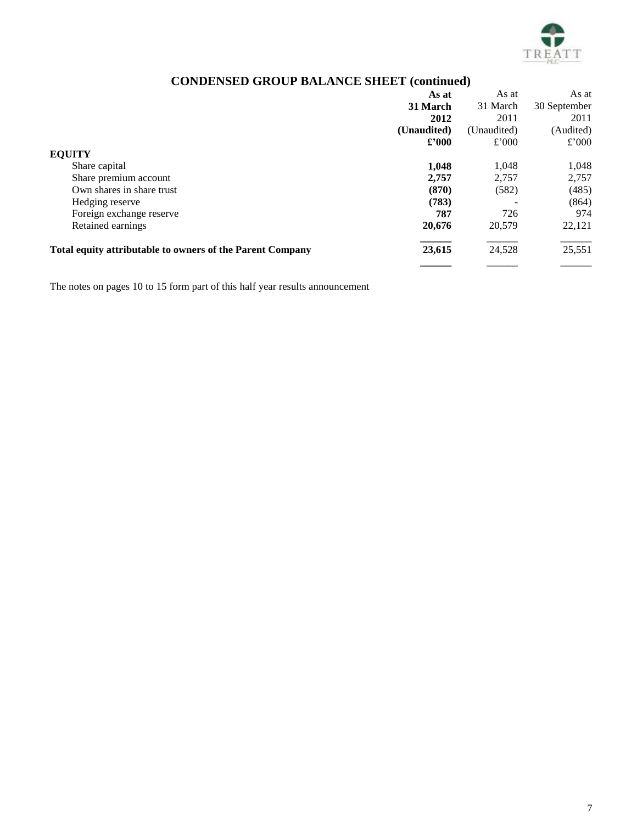

# **CONDENSED GROUP BALANCE SHEET (continued)**

|                                                                  | As at          | As at       | As at        |
|------------------------------------------------------------------|----------------|-------------|--------------|
|                                                                  | 31 March       | 31 March    | 30 September |
|                                                                  | 2012           | 2011        | 2011         |
|                                                                  | (Unaudited)    | (Unaudited) | (Audited)    |
|                                                                  | $\pounds$ '000 | £'000       | £'000        |
| <b>EQUITY</b>                                                    |                |             |              |
| Share capital                                                    | 1,048          | 1.048       | 1,048        |
| Share premium account                                            | 2,757          | 2,757       | 2,757        |
| Own shares in share trust                                        | (870)          | (582)       | (485)        |
| Hedging reserve                                                  | (783)          |             | (864)        |
| Foreign exchange reserve                                         | 787            | 726         | 974          |
| Retained earnings                                                | 20,676         | 20,579      | 22,121       |
| <b>Total equity attributable to owners of the Parent Company</b> | 23,615         | 24,528      | 25,551       |
|                                                                  |                |             |              |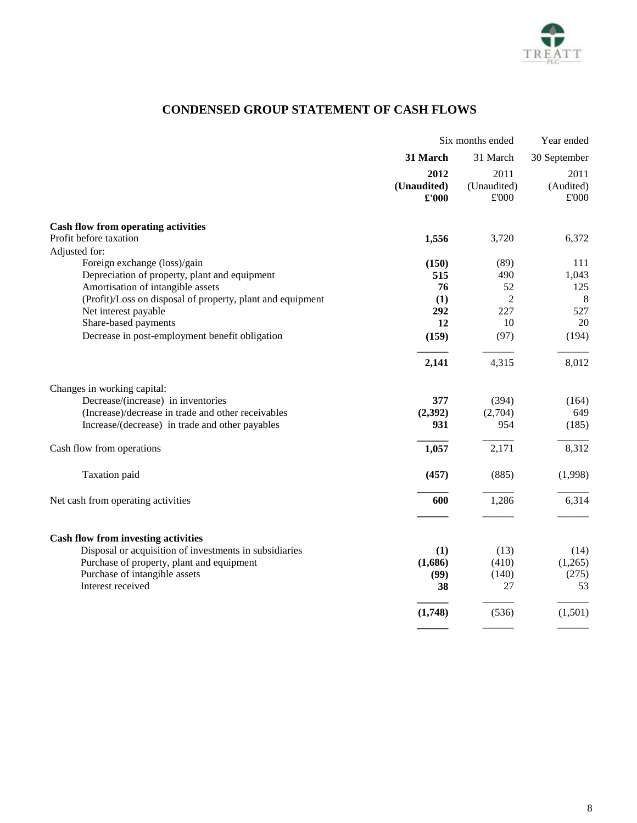

# **CONDENSED GROUP STATEMENT OF CASH FLOWS**

|                                                            | Six months ended |                | Year ended   |
|------------------------------------------------------------|------------------|----------------|--------------|
|                                                            | 31 March         | 31 March       | 30 September |
|                                                            | 2012             | 2011           | 2011         |
|                                                            | (Unaudited)      | (Unaudited)    | (Audited)    |
|                                                            | £'000            | $\pounds 000$  | £'000        |
| <b>Cash flow from operating activities</b>                 |                  |                |              |
| Profit before taxation                                     | 1,556            | 3,720          | 6,372        |
| Adjusted for:                                              |                  |                |              |
| Foreign exchange (loss)/gain                               | (150)            | (89)           | 111          |
| Depreciation of property, plant and equipment              | 515              | 490            | 1,043        |
| Amortisation of intangible assets                          | 76               | 52             | 125          |
| (Profit)/Loss on disposal of property, plant and equipment | (1)              | $\overline{2}$ | 8            |
| Net interest payable                                       | 292              | 227            | 527          |
| Share-based payments                                       | 12               | 10             | 20           |
| Decrease in post-employment benefit obligation             | (159)            | (97)           | (194)        |
|                                                            | 2,141            | 4,315          | 8,012        |
| Changes in working capital:                                |                  |                |              |
| Decrease/(increase) in inventories                         | 377              | (394)          | (164)        |
| (Increase)/decrease in trade and other receivables         | (2, 392)         | (2,704)        | 649          |
| Increase/(decrease) in trade and other payables            | 931              | 954            | (185)        |
| Cash flow from operations                                  | 1,057            | 2,171          | 8,312        |
| Taxation paid                                              | (457)            | (885)          | (1,998)      |
| Net cash from operating activities                         | 600              | 1,286          | 6,314        |
|                                                            |                  |                |              |
| <b>Cash flow from investing activities</b>                 |                  |                |              |
| Disposal or acquisition of investments in subsidiaries     | (1)              | (13)           | (14)         |
| Purchase of property, plant and equipment                  | (1,686)          | (410)          | (1,265)      |
| Purchase of intangible assets                              | (99)             | (140)          | (275)        |
| Interest received                                          | 38               | 27             | 53           |
|                                                            | (1,748)          | (536)          | (1,501)      |
|                                                            |                  |                |              |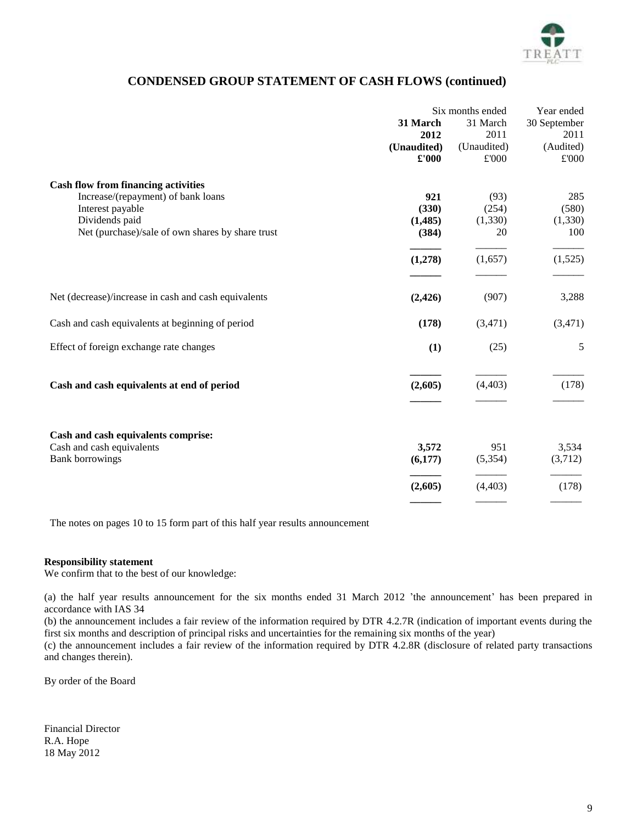

## **CONDENSED GROUP STATEMENT OF CASH FLOWS (continued)**

|                                                      | Six months ended |             | Year ended   |
|------------------------------------------------------|------------------|-------------|--------------|
|                                                      | 31 March         | 31 March    | 30 September |
|                                                      | 2012             | 2011        | 2011         |
|                                                      | (Unaudited)      | (Unaudited) | (Audited)    |
|                                                      | $\pounds 000$    | £'000       | £'000        |
| <b>Cash flow from financing activities</b>           |                  |             |              |
| Increase/(repayment) of bank loans                   | 921              | (93)        | 285          |
| Interest payable                                     | (330)            | (254)       | (580)        |
| Dividends paid                                       | (1, 485)         | (1, 330)    | (1, 330)     |
| Net (purchase)/sale of own shares by share trust     | (384)            | 20          | 100          |
|                                                      | (1,278)          | (1,657)     | (1,525)      |
| Net (decrease)/increase in cash and cash equivalents | (2, 426)         | (907)       | 3,288        |
| Cash and cash equivalents at beginning of period     | (178)            | (3,471)     | (3,471)      |
| Effect of foreign exchange rate changes              | (1)              | (25)        | 5            |
| Cash and cash equivalents at end of period           | (2,605)          | (4, 403)    | (178)        |
| Cash and cash equivalents comprise:                  |                  |             |              |
| Cash and cash equivalents                            | 3,572            | 951         | 3,534        |
| <b>Bank borrowings</b>                               | (6,177)          | (5,354)     | (3,712)      |
|                                                      | (2,605)          | (4, 403)    | (178)        |
|                                                      |                  |             |              |

The notes on pages [10](#page-9-0) to [15](#page-14-0) form part of this half year results announcement

#### **Responsibility statement**

We confirm that to the best of our knowledge:

(a) the half year results announcement for the six months ended 31 March 2012 'the announcement' has been prepared in accordance with IAS 34

(b) the announcement includes a fair review of the information required by DTR 4.2.7R (indication of important events during the first six months and description of principal risks and uncertainties for the remaining six months of the year)

(c) the announcement includes a fair review of the information required by DTR 4.2.8R (disclosure of related party transactions and changes therein).

By order of the Board

Financial Director R.A. Hope 18 May 2012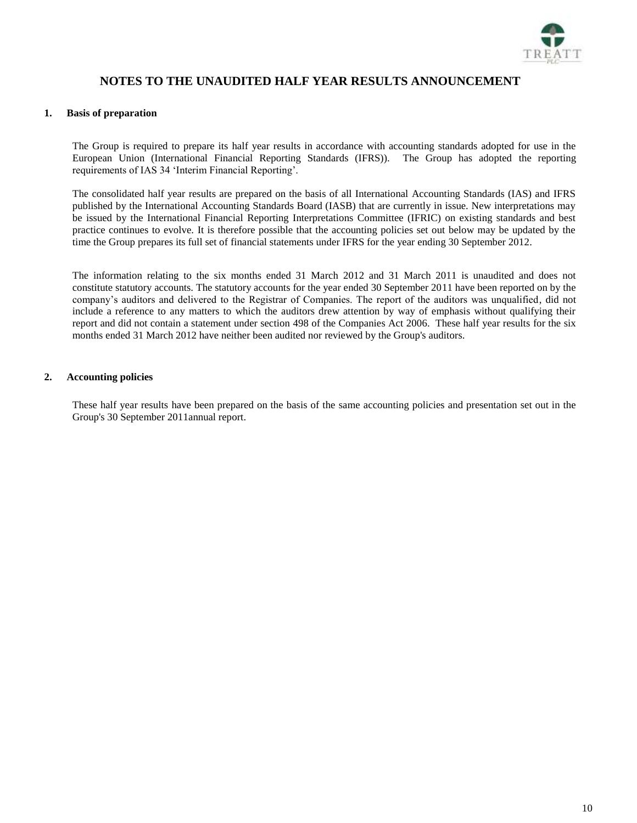

## **NOTES TO THE UNAUDITED HALF YEAR RESULTS ANNOUNCEMENT**

#### <span id="page-9-0"></span>**1. Basis of preparation**

The Group is required to prepare its half year results in accordance with accounting standards adopted for use in the European Union (International Financial Reporting Standards (IFRS)). The Group has adopted the reporting requirements of IAS 34 'Interim Financial Reporting'.

The consolidated half year results are prepared on the basis of all International Accounting Standards (IAS) and IFRS published by the International Accounting Standards Board (IASB) that are currently in issue. New interpretations may be issued by the International Financial Reporting Interpretations Committee (IFRIC) on existing standards and best practice continues to evolve. It is therefore possible that the accounting policies set out below may be updated by the time the Group prepares its full set of financial statements under IFRS for the year ending 30 September 2012.

The information relating to the six months ended 31 March 2012 and 31 March 2011 is unaudited and does not constitute statutory accounts. The statutory accounts for the year ended 30 September 2011 have been reported on by the company's auditors and delivered to the Registrar of Companies. The report of the auditors was unqualified, did not include a reference to any matters to which the auditors drew attention by way of emphasis without qualifying their report and did not contain a statement under section 498 of the Companies Act 2006. These half year results for the six months ended 31 March 2012 have neither been audited nor reviewed by the Group's auditors.

## **2. Accounting policies**

These half year results have been prepared on the basis of the same accounting policies and presentation set out in the Group's 30 September 2011annual report.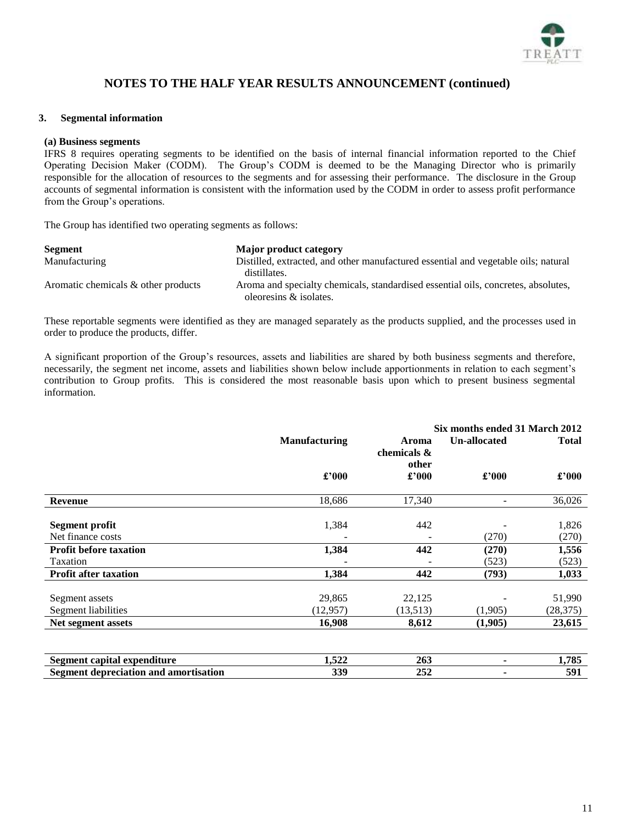

### <span id="page-10-0"></span>**3. Segmental information**

#### **(a) Business segments**

IFRS 8 requires operating segments to be identified on the basis of internal financial information reported to the Chief Operating Decision Maker (CODM). The Group's CODM is deemed to be the Managing Director who is primarily responsible for the allocation of resources to the segments and for assessing their performance. The disclosure in the Group accounts of segmental information is consistent with the information used by the CODM in order to assess profit performance from the Group's operations.

The Group has identified two operating segments as follows:

| <b>Segment</b>                      | Major product category                                                             |
|-------------------------------------|------------------------------------------------------------------------------------|
| Manufacturing                       | Distilled, extracted, and other manufactured essential and vegetable oils; natural |
|                                     | distillates.                                                                       |
| Aromatic chemicals & other products | Aroma and specialty chemicals, standardised essential oils, concretes, absolutes,  |
|                                     | oleoresins & isolates.                                                             |

These reportable segments were identified as they are managed separately as the products supplied, and the processes used in order to produce the products, differ.

A significant proportion of the Group's resources, assets and liabilities are shared by both business segments and therefore, necessarily, the segment net income, assets and liabilities shown below include apportionments in relation to each segment's contribution to Group profits. This is considered the most reasonable basis upon which to present business segmental information.

|                                                     |                                                                       |          |              |                |  |  | Six months ended 31 March 2012 |  |  |
|-----------------------------------------------------|-----------------------------------------------------------------------|----------|--------------|----------------|--|--|--------------------------------|--|--|
|                                                     | <b>Manufacturing</b><br>Un-allocated<br>Aroma<br>chemicals &<br>other |          | <b>Total</b> |                |  |  |                                |  |  |
|                                                     | £'000                                                                 | £'000    | £'000        | $\pounds$ '000 |  |  |                                |  |  |
| <b>Revenue</b>                                      | 18,686                                                                | 17,340   | ۰            | 36,026         |  |  |                                |  |  |
| <b>Segment profit</b>                               | 1,384                                                                 | 442      |              | 1,826          |  |  |                                |  |  |
| Net finance costs                                   |                                                                       |          | (270)        | (270)          |  |  |                                |  |  |
| <b>Profit before taxation</b>                       | 1,384                                                                 | 442      | (270)        | 1,556          |  |  |                                |  |  |
| Taxation                                            |                                                                       |          | (523)        | (523)          |  |  |                                |  |  |
| <b>Profit after taxation</b>                        | 1,384                                                                 | 442      | (793)        | 1,033          |  |  |                                |  |  |
| Segment assets                                      | 29,865                                                                | 22,125   |              | 51,990         |  |  |                                |  |  |
| Segment liabilities                                 | (12, 957)                                                             | (13,513) | (1,905)      | (28, 375)      |  |  |                                |  |  |
| Net segment assets                                  | 16,908                                                                | 8,612    | (1,905)      | 23,615         |  |  |                                |  |  |
| $\alpha$ $\alpha$ $\alpha$ $\alpha$<br>$\mathbf{P}$ | 1.522                                                                 | $\sim$   |              | 1.505          |  |  |                                |  |  |

| $\sim$<br>Segmen<br>canital<br>expenditure                          | AA<br>1.344 | $\sim$<br>20.              | $-70F$<br>1.702 |
|---------------------------------------------------------------------|-------------|----------------------------|-----------------|
| <b>Segmen</b><br>t depreciation<br>. amort<br>nca 1<br>tıon<br>ุดทศ | , , ,<br>ບບ | $\sim$ $\sim$ $\sim$<br>⊷≁ | EA1             |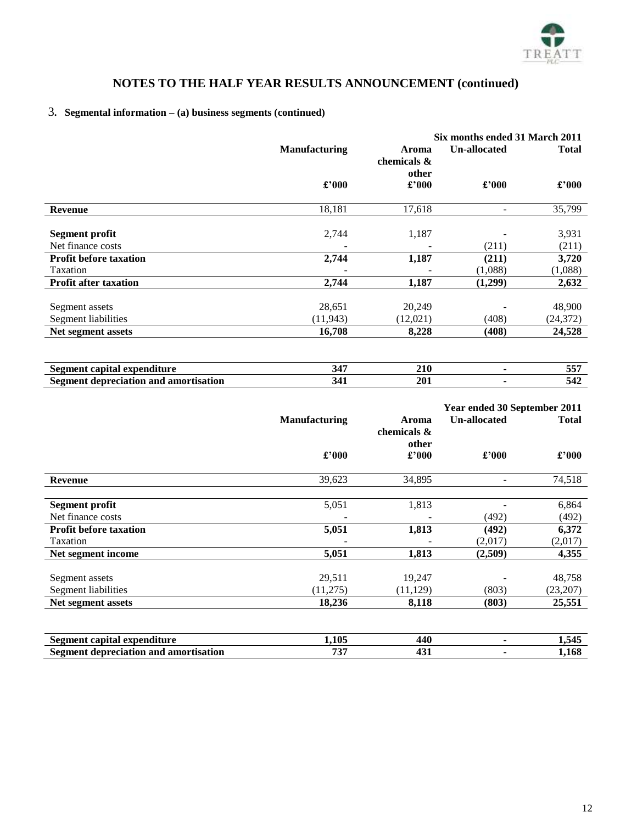

# [3](#page-10-0)**. Segmental information – (a) business segments (continued)**

|                               |                      |                               | Six months ended 31 March 2011 |                |  |  |
|-------------------------------|----------------------|-------------------------------|--------------------------------|----------------|--|--|
|                               | <b>Manufacturing</b> | Aroma<br>chemicals &<br>other |                                |                |  |  |
|                               | £'000                | £'000                         | £'000                          | $\pounds$ '000 |  |  |
| <b>Revenue</b>                | 18,181               | 17,618                        | $\overline{\phantom{0}}$       | 35,799         |  |  |
|                               |                      |                               |                                |                |  |  |
| Segment profit                | 2,744                | 1,187                         |                                | 3,931          |  |  |
| Net finance costs             |                      |                               | (211)                          | (211)          |  |  |
| <b>Profit before taxation</b> | 2,744                | 1,187                         | (211)                          | 3,720          |  |  |
| Taxation                      |                      |                               | (1,088)                        | (1,088)        |  |  |
| <b>Profit after taxation</b>  | 2,744                | 1,187                         | (1,299)                        | 2,632          |  |  |
|                               |                      |                               |                                |                |  |  |
| Segment assets                | 28,651               | 20,249                        |                                | 48,900         |  |  |
| Segment liabilities           | (11, 943)            | (12,021)                      | (408)                          | (24, 372)      |  |  |
| Net segment assets            | 16,708               | 8,228                         | (408)                          | 24,528         |  |  |
|                               |                      |                               |                                |                |  |  |

| comitol<br>$\sim$ - $\sim$<br>.<br>הה<br>້                | . . | --- | ---<br>ັບ    |
|-----------------------------------------------------------|-----|-----|--------------|
| <u>iamman</u><br>danraciat<br>$\sim$<br>иоп<br><b>DUE</b> | --  | 201 | - - -<br>J44 |

|                               |                      |                               | Year ended 30 September 2011 |              |
|-------------------------------|----------------------|-------------------------------|------------------------------|--------------|
|                               | <b>Manufacturing</b> | Aroma<br>chemicals &<br>other | <b>Un-allocated</b>          | <b>Total</b> |
|                               | £'000                | £'000                         | £'000                        | £'000        |
| <b>Revenue</b>                | 39,623               | 34,895                        |                              | 74,518       |
| Segment profit                | 5,051                | 1,813                         |                              | 6,864        |
| Net finance costs             |                      |                               | (492)                        | (492)        |
| <b>Profit before taxation</b> | 5,051                | 1,813                         | (492)                        | 6,372        |
| Taxation                      |                      |                               | (2,017)                      | (2,017)      |
| Net segment income            | 5,051                | 1,813                         | (2,509)                      | 4,355        |
|                               |                      |                               |                              |              |
| Segment assets                | 29,511               | 19,247                        |                              | 48,758       |
| Segment liabilities           | (11,275)             | (11, 129)                     | (803)                        | (23,207)     |
| Net segment assets            | 18,236               | 8,118                         | (803)                        | 25,551       |

| Segment<br>l expenditure<br>capital                   | 1.105                                          | $\overline{A}$<br>- 11                    | .<br>- 1<br>⊥∙ |
|-------------------------------------------------------|------------------------------------------------|-------------------------------------------|----------------|
| t depreciation and amortisation<br>- Seoment -<br>IJΕ | <b>TOP</b><br>$\overline{\mathcal{U}}$<br>$ -$ | ᠇୰∸<br>$\sim$ $\sim$ $\sim$ $\sim$ $\sim$ | 1.168          |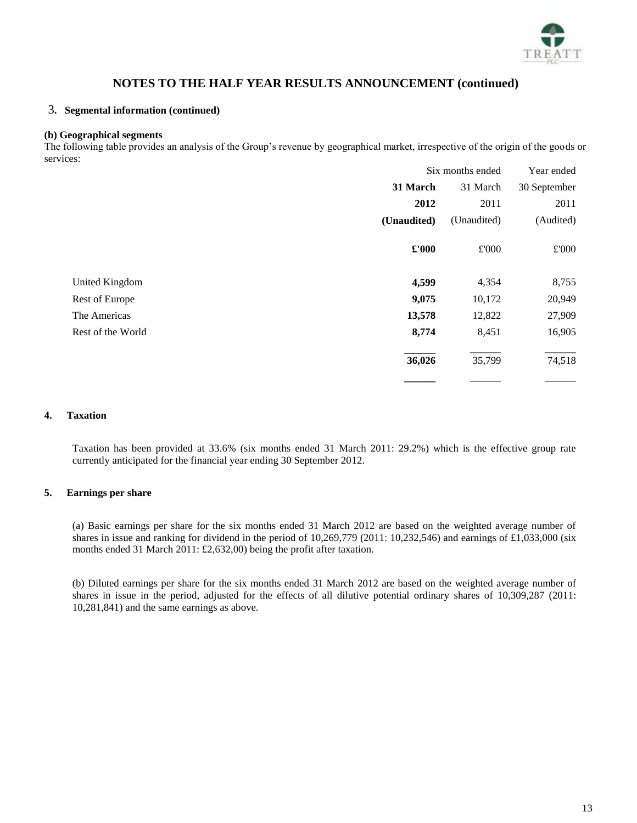

### [3](#page-10-0)**. Segmental information (continued)**

#### **(b) Geographical segments**

The following table provides an analysis of the Group's revenue by geographical market, irrespective of the origin of the goods or services:

|                   | Six months ended |             | Year ended   |
|-------------------|------------------|-------------|--------------|
|                   | 31 March         | 31 March    | 30 September |
|                   | 2012             | 2011        | 2011         |
|                   | (Unaudited)      | (Unaudited) | (Audited)    |
|                   | £'000            | £'000       | £'000        |
| United Kingdom    | 4,599            | 4,354       | 8,755        |
| Rest of Europe    | 9,075            | 10,172      | 20,949       |
| The Americas      | 13,578           | 12,822      | 27,909       |
| Rest of the World | 8,774            | 8,451       | 16,905       |
|                   | 36,026           | 35,799      | 74,518       |
|                   |                  |             |              |

### <span id="page-12-0"></span>**4. Taxation**

Taxation has been provided at 33.6% (six months ended 31 March 2011: 29.2%) which is the effective group rate currently anticipated for the financial year ending 30 September 2012.

#### <span id="page-12-1"></span>**5. Earnings per share**

(a) Basic earnings per share for the six months ended 31 March 2012 are based on the weighted average number of shares in issue and ranking for dividend in the period of 10,269,779 (2011: 10,232,546) and earnings of £1,033,000 (six months ended 31 March 2011: £2,632,00) being the profit after taxation.

(b) Diluted earnings per share for the six months ended 31 March 2012 are based on the weighted average number of shares in issue in the period, adjusted for the effects of all dilutive potential ordinary shares of 10,309,287 (2011: 10,281,841) and the same earnings as above.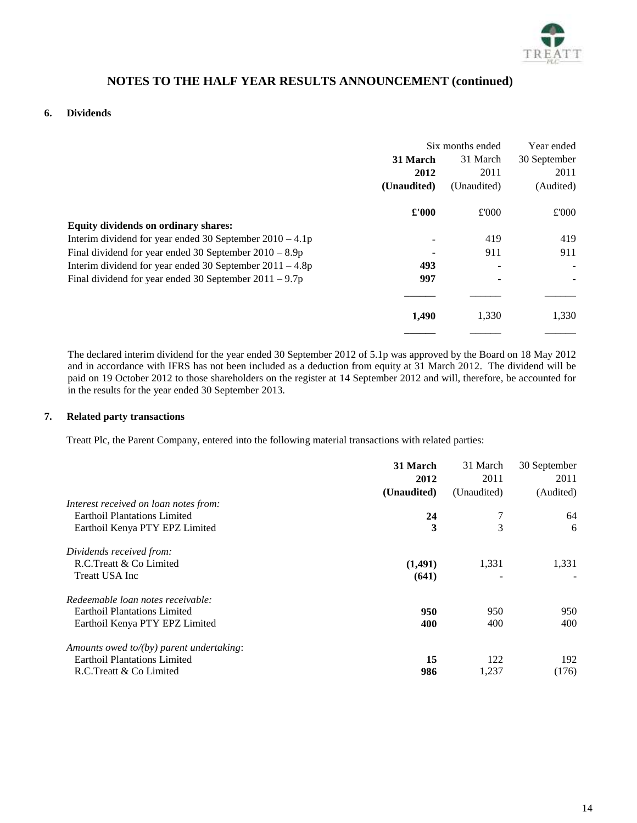

### **6. Dividends**

|                                                            | Six months ended |             | Year ended   |
|------------------------------------------------------------|------------------|-------------|--------------|
|                                                            | 31 March         | 31 March    | 30 September |
|                                                            | 2012             | 2011        | 2011         |
|                                                            | (Unaudited)      | (Unaudited) | (Audited)    |
|                                                            | £'000            | £'000       | £'000        |
| <b>Equity dividends on ordinary shares:</b>                |                  |             |              |
| Interim dividend for year ended 30 September $2010 - 4.1p$ |                  | 419         | 419          |
| Final dividend for year ended 30 September $2010 - 8.9p$   |                  | 911         | 911          |
| Interim dividend for year ended 30 September $2011 - 4.8p$ | 493              |             |              |
| Final dividend for year ended 30 September $2011 - 9.7p$   | 997              |             |              |
|                                                            |                  |             |              |
|                                                            | 1,490            | 1,330       | 1,330        |

The declared interim dividend for the year ended 30 September 2012 of 5.1p was approved by the Board on 18 May 2012 and in accordance with IFRS has not been included as a deduction from equity at 31 March 2012. The dividend will be paid on 19 October 2012 to those shareholders on the register at 14 September 2012 and will, therefore, be accounted for in the results for the year ended 30 September 2013.

## <span id="page-13-0"></span>**7. Related party transactions**

Treatt Plc, the Parent Company, entered into the following material transactions with related parties:

|                                          | 31 March    | 31 March    | 30 September |
|------------------------------------------|-------------|-------------|--------------|
|                                          | 2012        | 2011        | 2011         |
|                                          | (Unaudited) | (Unaudited) | (Audited)    |
| Interest received on loan notes from:    |             |             |              |
| <b>Earthoil Plantations Limited</b>      | 24          |             | 64           |
| Earthoil Kenya PTY EPZ Limited           | 3           | 3           | 6            |
| Dividends received from:                 |             |             |              |
| R.C.Treatt & Co Limited                  | (1,491)     | 1,331       | 1,331        |
| <b>Treatt USA Inc</b>                    | (641)       |             |              |
| Redeemable loan notes receivable:        |             |             |              |
| <b>Earthoil Plantations Limited</b>      | 950         | 950         | 950          |
| Earthoil Kenya PTY EPZ Limited           | 400         | 400         | 400          |
| Amounts owed to/(by) parent undertaking: |             |             |              |
| <b>Earthoil Plantations Limited</b>      | 15          | 122         | 192          |
| R.C.Treatt & Co Limited                  | 986         | 1,237       | (176)        |